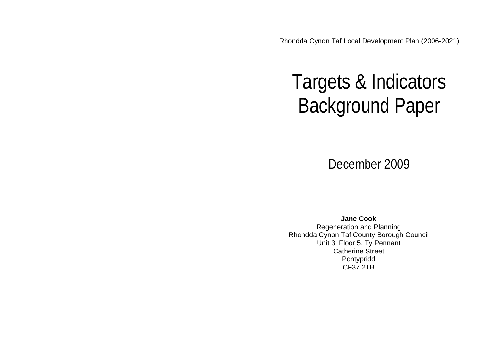Rhondda Cynon Taf Local Development Plan (2006-2021)

# Targets & Indicators Background Paper

December 2009

**Jane Cook** Regeneration and Planning Rhondda Cynon Taf County Borough Council Unit 3, Floor 5, Ty Pennant Catherine Street Pontypridd CF37 2TB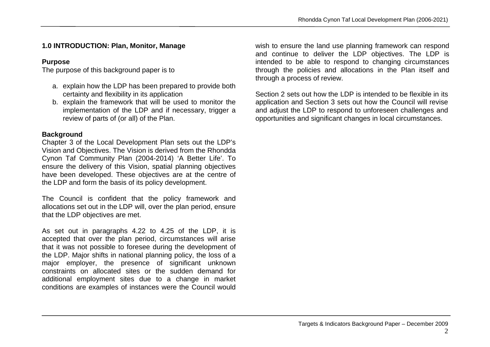# **1.0 INTRODUCTION: Plan, Monitor, Manage**

# **Purpose**

The purpose of this background paper is to

- a. explain how the LDP has been prepared to provide both certainty and flexibility in its application
- b. explain the framework that will be used to monitor the implementation of the LDP and if necessary, trigger a review of parts of (or all) of the Plan.

# **Background**

Chapter 3 of the Local Development Plan sets out the LDP's Vision and Objectives. The Vision is derived from the Rhondda Cynon Taf Community Plan (2004-2014) 'A Better Life'. To ensure the delivery of this Vision, spatial planning objectives have been developed. These objectives are at the centre of the LDP and form the basis of its policy development.

The Council is confident that the policy framework and allocations set out in the LDP will, over the plan period, ensure that the LDP objectives are met.

As set out in paragraphs 4.22 to 4.25 of the LDP, it is accepted that over the plan period, circumstances will arise that it was not possible to foresee during the development of the LDP. Major shifts in national planning policy, the loss of a major employer, the presence of significant unknown constraints on allocated sites or the sudden demand for additional employment sites due to a change in market conditions are examples of instances were the Council would

wish to ensure the land use planning framework can respond and continue to deliver the LDP objectives. The LDP is intended to be able to respond to changing circumstances through the policies and allocations in the Plan itself and through a process of review.

Section 2 sets out how the LDP is intended to be flexible in its application and Section 3 sets out how the Council will revise and adjust the LDP to respond to unforeseen challenges and opportunities and significant changes in local circumstances.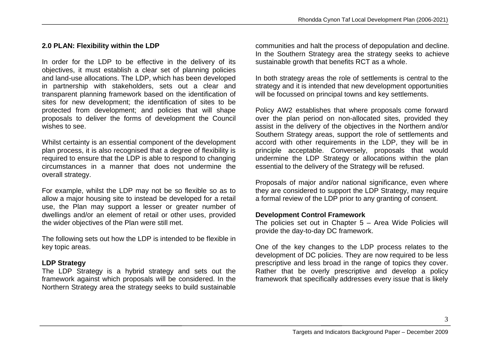# **2.0 PLAN: Flexibility within the LDP**

In order for the LDP to be effective in the delivery of its objectives, it must establish a clear set of planning policies and land-use allocations. The LDP, which has been developed in partnership with stakeholders, sets out a clear and transparent planning framework based on the identification of sites for new development; the identification of sites to be protected from development; and policies that will shape proposals to deliver the forms of development the Council wishes to see.

Whilst certainty is an essential component of the development plan process, it is also recognised that a degree of flexibility is required to ensure that the LDP is able to respond to changing circumstances in a manner that does not undermine the overall strategy.

For example, whilst the LDP may not be so flexible so as to allow a major housing site to instead be developed for a retail use, the Plan may support a lesser or greater number of dwellings and/or an element of retail or other uses, provided the wider objectives of the Plan were still met.

The following sets out how the LDP is intended to be flexible in key topic areas.

# **LDP Strategy**

The LDP Strategy is a hybrid strategy and sets out the framework against which proposals will be considered. In the Northern Strategy area the strategy seeks to build sustainable communities and halt the process of depopulation and decline. In the Southern Strategy area the strategy seeks to achieve sustainable growth that benefits RCT as a whole.

In both strategy areas the role of settlements is central to the strategy and it is intended that new development opportunities will be focussed on principal towns and key settlements.

Policy AW2 establishes that where proposals come forward over the plan period on non-allocated sites, provided they assist in the delivery of the objectives in the Northern and/or Southern Strategy areas, support the role of settlements and accord with other requirements in the LDP, they will be in principle acceptable. Conversely, proposals that would undermine the LDP Strategy or allocations within the plan essential to the delivery of the Strategy will be refused.

Proposals of major and/or national significance, even where they are considered to support the LDP Strategy, may require a formal review of the LDP prior to any granting of consent.

# **Development Control Framework**

The policies set out in Chapter 5 – Area Wide Policies will provide the day-to-day DC framework.

One of the key changes to the LDP process relates to the development of DC policies. They are now required to be less prescriptive and less broad in the range of topics they cover. Rather that be overly prescriptive and develop a policy framework that specifically addresses every issue that is likely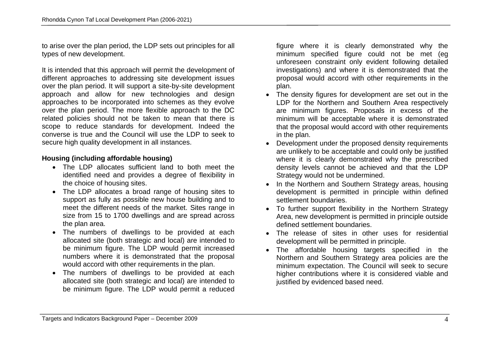to arise over the plan period, the LDP sets out principles for all types of new development.

It is intended that this approach will permit the development of different approaches to addressing site development issues over the plan period. It will support a site-by-site development approach and allow for new technologies and design approaches to be incorporated into schemes as they evolve over the plan period. The more flexible approach to the DC related policies should not be taken to mean that there is scope to reduce standards for development. Indeed the converse is true and the Council will use the LDP to seek to secure high quality development in all instances.

## **Housing (including affordable housing)**

- The LDP allocates sufficient land to both meet the identified need and provides a degree of flexibility in the choice of housing sites.
- The LDP allocates a broad range of housing sites to support as fully as possible new house building and to meet the different needs of the market. Sites range in size from 15 to 1700 dwellings and are spread across the plan area.
- The numbers of dwellings to be provided at each allocated site (both strategic and local) are intended to be minimum figure. The LDP would permit increased numbers where it is demonstrated that the proposal would accord with other requirements in the plan.
- The numbers of dwellings to be provided at each allocated site (both strategic and local) are intended to be minimum figure. The LDP would permit a reduced

figure where it is clearly demonstrated why the minimum specified figure could not be met (eg unforeseen constraint only evident following detailed investigations) and where it is demonstrated that the proposal would accord with other requirements in the plan.

- The density figures for development are set out in the LDP for the Northern and Southern Area respectively are minimum figures. Proposals in excess of the minimum will be acceptable where it is demonstrated that the proposal would accord with other requirements in the plan.
- Development under the proposed density requirements are unlikely to be acceptable and could only be justified where it is clearly demonstrated why the prescribed density levels cannot be achieved and that the LDP Strategy would not be undermined.
- In the Northern and Southern Strategy areas, housing development is permitted in principle within defined settlement boundaries.
- To further support flexibility in the Northern Strategy Area, new development is permitted in principle outside defined settlement boundaries.
- The release of sites in other uses for residential development will be permitted in principle.
- The affordable housing targets specified in the Northern and Southern Strategy area policies are the minimum expectation. The Council will seek to secure higher contributions where it is considered viable and justified by evidenced based need.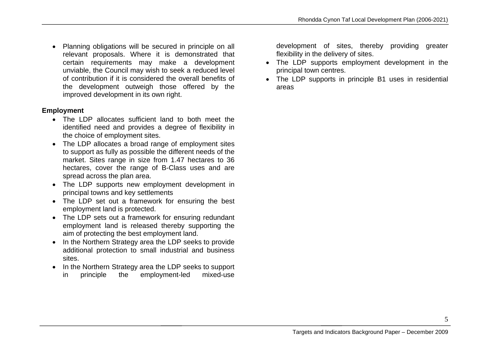• Planning obligations will be secured in principle on all relevant proposals. Where it is demonstrated that certain requirements may make a development unviable, the Council may wish to seek a reduced level of contribution if it is considered the overall benefits of the development outweigh those offered by the improved development in its own right.

#### **Employment**

- The LDP allocates sufficient land to both meet the identified need and provides a degree of flexibility in the choice of employment sites.
- The LDP allocates a broad range of employment sites to support as fully as possible the different needs of the market. Sites range in size from 1.47 hectares to 36 hectares, cover the range of B-Class uses and are spread across the plan area.
- The LDP supports new employment development in principal towns and key settlements
- The LDP set out a framework for ensuring the best employment land is protected.
- The LDP sets out a framework for ensuring redundant employment land is released thereby supporting the aim of protecting the best employment land.
- In the Northern Strategy area the LDP seeks to provide additional protection to small industrial and business sites.
- In the Northern Strategy area the LDP seeks to support
	- in principle the employment-led mixed-use

development of sites, thereby providing greater flexibility in the delivery of sites.

- The LDP supports employment development in the principal town centres.
- The LDP supports in principle B1 uses in residential areas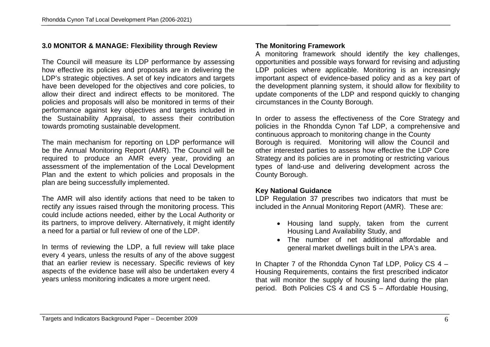# **3.0 MONITOR & MANAGE: Flexibility through Review**

The Council will measure its LDP performance by assessing how effective its policies and proposals are in delivering the LDP's strategic objectives. A set of key indicators and targets have been developed for the objectives and core policies, to allow their direct and indirect effects to be monitored. The policies and proposals will also be monitored in terms of their performance against key objectives and targets included in the Sustainability Appraisal, to assess their contribution towards promoting sustainable development.

The main mechanism for reporting on LDP performance will be the Annual Monitoring Report (AMR). The Council will be required to produce an AMR every year, providing an assessment of the implementation of the Local Development Plan and the extent to which policies and proposals in the plan are being successfully implemented.

The AMR will also identify actions that need to be taken to rectify any issues raised through the monitoring process. This could include actions needed, either by the Local Authority or its partners, to improve delivery. Alternatively, it might identify a need for a partial or full review of one of the LDP.

In terms of reviewing the LDP, a full review will take place every 4 years, unless the results of any of the above suggest that an earlier review is necessary. Specific reviews of key aspects of the evidence base will also be undertaken every 4 years unless monitoring indicates a more urgent need.

## **The Monitoring Framework**

A monitoring framework should identify the key challenges, opportunities and possible ways forward for revising and adjusting LDP policies where applicable. Monitoring is an increasingly important aspect of evidence-based policy and as a key part of the development planning system, it should allow for flexibility to update components of the LDP and respond quickly to changing circumstances in the County Borough.

In order to assess the effectiveness of the Core Strategy and policies in the Rhondda Cynon Taf LDP, a comprehensive and continuous approach to monitoring change in the County Borough is required. Monitoring will allow the Council and other interested parties to assess how effective the LDP Core Strategy and its policies are in promoting or restricting various types of land-use and delivering development across the County Borough.

#### **Key National Guidance**

LDP Regulation 37 prescribes two indicators that must be included in the Annual Monitoring Report (AMR). These are:

- Housing land supply, taken from the current Housing Land Availability Study, and
- The number of net additional affordable and general market dwellings built in the LPA's area.

In Chapter 7 of the Rhondda Cynon Taf LDP, Policy CS 4 – Housing Requirements, contains the first prescribed indicator that will monitor the supply of housing land during the plan period. Both Policies CS 4 and CS 5 – Affordable Housing,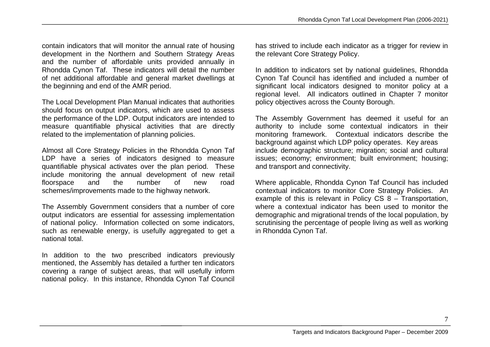contain indicators that will monitor the annual rate of housing development in the Northern and Southern Strategy Areas and the number of affordable units provided annually in Rhondda Cynon Taf. These indicators will detail the number of net additional affordable and general market dwellings at the beginning and end of the AMR period.

The Local Development Plan Manual indicates that authorities should focus on output indicators, which are used to assess the performance of the LDP. Output indicators are intended to measure quantifiable physical activities that are directly related to the implementation of planning policies.

Almost all Core Strategy Policies in the Rhondda Cynon Taf LDP have a series of indicators designed to measure quantifiable physical activates over the plan period. These include monitoring the annual development of new retail floorspace and the number of new road schemes/improvements made to the highway network.

The Assembly Government considers that a number of core output indicators are essential for assessing implementation of national policy. Information collected on some indicators, such as renewable energy, is usefully aggregated to get a national total.

In addition to the two prescribed indicators previously mentioned, the Assembly has detailed a further ten indicators covering a range of subject areas, that will usefully inform national policy. In this instance, Rhondda Cynon Taf Council has strived to include each indicator as a trigger for review in the relevant Core Strategy Policy.

In addition to indicators set by national guidelines, Rhondda Cynon Taf Council has identified and included a number of significant local indicators designed to monitor policy at a regional level. All indicators outlined in Chapter 7 monitor policy objectives across the County Borough.

The Assembly Government has deemed it useful for an authority to include some contextual indicators in their monitoring framework. Contextual indicators describe the background against which LDP policy operates. Key areas include demographic structure; migration; social and cultural issues; economy; environment; built environment; housing; and transport and connectivity.

Where applicable, Rhondda Cynon Taf Council has included contextual indicators to monitor Core Strategy Policies. An example of this is relevant in Policy CS 8 – Transportation, where a contextual indicator has been used to monitor the demographic and migrational trends of the local population, by scrutinising the percentage of people living as well as working in Rhondda Cynon Taf.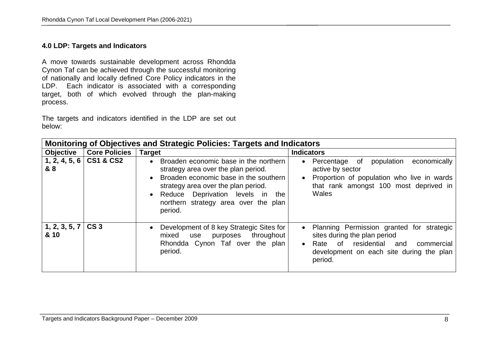## **4.0 LDP: Targets and Indicators**

A move towards sustainable development across Rhondda Cynon Taf can be achieved through the successful monitoring of nationally and locally defined Core Policy indicators in the LDP. Each indicator is associated with a corresponding target, both of which evolved through the plan-making process.

The targets and indicators identified in the LDP are set out below:

|                       | Monitoring of Objectives and Strategic Policies: Targets and Indicators |                                                                                                                                                                                                                                                                  |                                                                                                                                                                                                              |
|-----------------------|-------------------------------------------------------------------------|------------------------------------------------------------------------------------------------------------------------------------------------------------------------------------------------------------------------------------------------------------------|--------------------------------------------------------------------------------------------------------------------------------------------------------------------------------------------------------------|
| <b>Objective</b>      | <b>Core Policies</b>                                                    | <b>Target</b>                                                                                                                                                                                                                                                    | <b>Indicators</b>                                                                                                                                                                                            |
| 1, 2, 4, 5, 6<br>& 8  | <b>CS1 &amp; CS2</b>                                                    | Broaden economic base in the northern<br>strategy area over the plan period.<br>Broaden economic base in the southern<br>strategy area over the plan period.<br>Deprivation levels in the<br>$\bullet$ Reduce<br>northern strategy area over the plan<br>period. | population<br>economically<br>Percentage of<br>$\bullet$<br>active by sector<br>Proportion of population who live in wards<br>$\bullet$<br>that rank amongst 100 most deprived in<br>Wales                   |
| 1, 2, 3, 5, 7<br>& 10 | CS <sub>3</sub>                                                         | Development of 8 key Strategic Sites for<br>throughout<br>mixed<br>purposes<br>use<br>Rhondda Cynon Taf over the plan<br>period.                                                                                                                                 | Planning Permission granted for strategic<br>$\bullet$<br>sites during the plan period<br>residential<br>Rate<br>of<br>commercial<br>and<br>$\bullet$<br>development on each site during the plan<br>period. |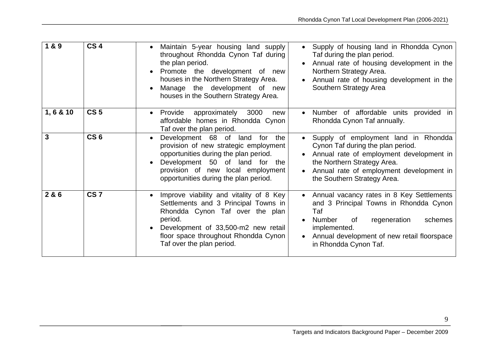| 1&9       | CS <sub>4</sub> | Maintain 5-year housing land supply<br>throughout Rhondda Cynon Taf during<br>the plan period.<br>Promote the development of new<br>houses in the Northern Strategy Area.<br>Manage the development of new<br>houses in the Southern Strategy Area. | Supply of housing land in Rhondda Cynon<br>Taf during the plan period.<br>Annual rate of housing development in the<br>Northern Strategy Area.<br>Annual rate of housing development in the<br>Southern Strategy Area                      |
|-----------|-----------------|-----------------------------------------------------------------------------------------------------------------------------------------------------------------------------------------------------------------------------------------------------|--------------------------------------------------------------------------------------------------------------------------------------------------------------------------------------------------------------------------------------------|
| 1, 6 & 10 | CS <sub>5</sub> | approximately 3000<br>Provide<br>new<br>affordable homes in Rhondda Cynon<br>Taf over the plan period.                                                                                                                                              | Number of affordable units provided in<br>Rhondda Cynon Taf annually.                                                                                                                                                                      |
| 3         | CS <sub>6</sub> | Development 68 of land for<br>the<br>$\bullet$<br>provision of new strategic employment<br>opportunities during the plan period.<br>Development 50 of land for the<br>provision of new local employment<br>opportunities during the plan period.    | Supply of employment land in Rhondda<br>Cynon Taf during the plan period.<br>Annual rate of employment development in<br>the Northern Strategy Area.<br>Annual rate of employment development in<br>the Southern Strategy Area.            |
| 2&6       | CS <sub>7</sub> | Improve viability and vitality of 8 Key<br>Settlements and 3 Principal Towns in<br>Rhondda Cynon Taf over the plan<br>period.<br>Development of 33,500-m2 new retail<br>floor space throughout Rhondda Cynon<br>Taf over the plan period.           | Annual vacancy rates in 8 Key Settlements<br>$\bullet$<br>and 3 Principal Towns in Rhondda Cynon<br>Taf<br>regeneration<br>schemes<br>Number<br>of<br>implemented.<br>Annual development of new retail floorspace<br>in Rhondda Cynon Taf. |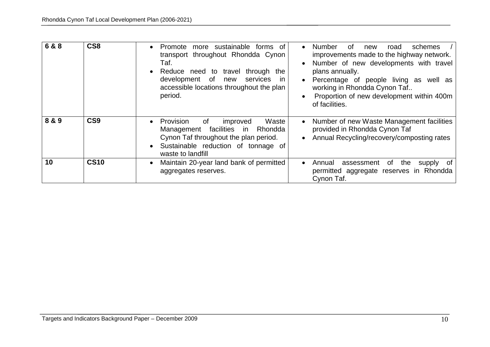| 6 & 8 | CS <sub>8</sub> | Promote more sustainable<br>forms of<br>transport throughout Rhondda Cynon<br>Taf.<br>Reduce need to travel<br>through the<br>development of<br>services<br>new<br>-in<br>accessible locations throughout the plan<br>period. | <b>Number</b><br>0f<br>schemes<br>road<br>new<br>$\bullet$<br>improvements made to the highway network.<br>Number of new developments with travel<br>plans annually.<br>Percentage of people living as well as<br>$\bullet$<br>working in Rhondda Cynon Taf<br>Proportion of new development within 400m<br>of facilities. |
|-------|-----------------|-------------------------------------------------------------------------------------------------------------------------------------------------------------------------------------------------------------------------------|----------------------------------------------------------------------------------------------------------------------------------------------------------------------------------------------------------------------------------------------------------------------------------------------------------------------------|
| 8 & 9 | CS <sub>9</sub> | Provision<br>Waste<br>of<br>improved<br>$\bullet$<br>Management facilities in<br>Rhondda<br>Cynon Taf throughout the plan period.<br>Sustainable reduction of tonnage of<br>waste to landfill                                 | Number of new Waste Management facilities<br>$\bullet$<br>provided in Rhondda Cynon Taf<br>Annual Recycling/recovery/composting rates                                                                                                                                                                                      |
| 10    | <b>CS10</b>     | Maintain 20-year land bank of permitted<br>$\bullet$<br>aggregates reserves.                                                                                                                                                  | of the<br>Annual<br>assessment<br>supply of<br>$\bullet$<br>permitted aggregate reserves in Rhondda<br>Cynon Taf.                                                                                                                                                                                                          |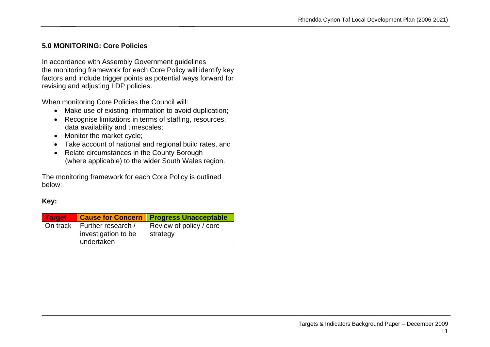## **5.0 MONITORING: Core Policies**

In accordance with Assembly Government guidelines the monitoring framework for each Core Policy will identify key factors and include trigger points as potential ways forward for revising and adjusting LDP policies.

When monitoring Core Policies the Council will:

- Make use of existing information to avoid duplication;
- Recognise limitations in terms of staffing, resources, data availability and timescales;
- Monitor the market cycle;
- Take account of national and regional build rates, and
- Relate circumstances in the County Borough (where applicable) to the wider South Wales region.

The monitoring framework for each Core Policy is outlined below:

# **Key:**

| <b>Target</b> |                     | <b>Cause for Concern   Progress Unacceptable</b> |
|---------------|---------------------|--------------------------------------------------|
| On track      | Further research /  | Review of policy / core                          |
|               | investigation to be | strategy                                         |
|               | undertaken          |                                                  |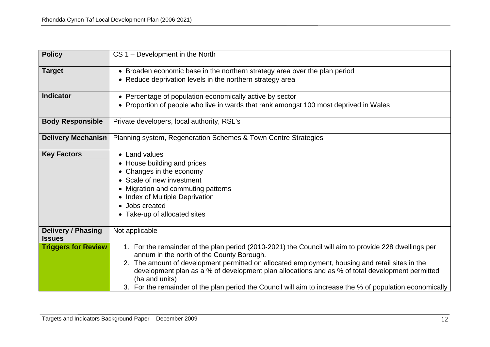| <b>Policy</b>                              | CS 1 - Development in the North                                                                                                                                                                                                                                                                                                                                                                                                                                                         |
|--------------------------------------------|-----------------------------------------------------------------------------------------------------------------------------------------------------------------------------------------------------------------------------------------------------------------------------------------------------------------------------------------------------------------------------------------------------------------------------------------------------------------------------------------|
| <b>Target</b>                              | • Broaden economic base in the northern strategy area over the plan period                                                                                                                                                                                                                                                                                                                                                                                                              |
|                                            | • Reduce deprivation levels in the northern strategy area                                                                                                                                                                                                                                                                                                                                                                                                                               |
| <b>Indicator</b>                           | • Percentage of population economically active by sector                                                                                                                                                                                                                                                                                                                                                                                                                                |
|                                            | • Proportion of people who live in wards that rank amongst 100 most deprived in Wales                                                                                                                                                                                                                                                                                                                                                                                                   |
| <b>Body Responsible</b>                    | Private developers, local authority, RSL's                                                                                                                                                                                                                                                                                                                                                                                                                                              |
| <b>Delivery Mechanism</b>                  | Planning system, Regeneration Schemes & Town Centre Strategies                                                                                                                                                                                                                                                                                                                                                                                                                          |
| <b>Key Factors</b>                         | • Land values<br>• House building and prices<br>• Changes in the economy<br>• Scale of new investment<br>• Migration and commuting patterns<br>• Index of Multiple Deprivation<br>• Jobs created<br>• Take-up of allocated sites                                                                                                                                                                                                                                                        |
| <b>Delivery / Phasing</b><br><b>Issues</b> | Not applicable                                                                                                                                                                                                                                                                                                                                                                                                                                                                          |
| <b>Triggers for Review</b>                 | 1. For the remainder of the plan period (2010-2021) the Council will aim to provide 228 dwellings per<br>annum in the north of the County Borough.<br>2. The amount of development permitted on allocated employment, housing and retail sites in the<br>development plan as a % of development plan allocations and as % of total development permitted<br>(ha and units)<br>3. For the remainder of the plan period the Council will aim to increase the % of population economically |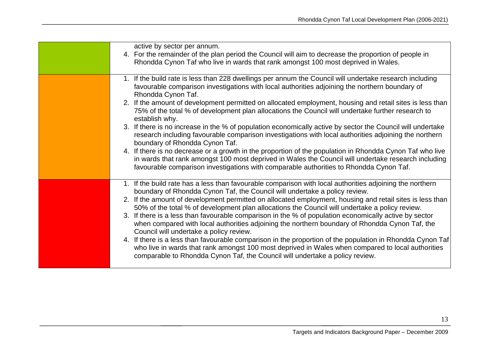| active by sector per annum.<br>4. For the remainder of the plan period the Council will aim to decrease the proportion of people in<br>Rhondda Cynon Taf who live in wards that rank amongst 100 most deprived in Wales.                                                                                                                                                                                                                                                                                                                                                                                                                                                                                                                                                                                                                                                                                                                                                                                                                 |
|------------------------------------------------------------------------------------------------------------------------------------------------------------------------------------------------------------------------------------------------------------------------------------------------------------------------------------------------------------------------------------------------------------------------------------------------------------------------------------------------------------------------------------------------------------------------------------------------------------------------------------------------------------------------------------------------------------------------------------------------------------------------------------------------------------------------------------------------------------------------------------------------------------------------------------------------------------------------------------------------------------------------------------------|
| 1. If the build rate is less than 228 dwellings per annum the Council will undertake research including<br>favourable comparison investigations with local authorities adjoining the northern boundary of<br>Rhondda Cynon Taf.<br>2. If the amount of development permitted on allocated employment, housing and retail sites is less than<br>75% of the total % of development plan allocations the Council will undertake further research to<br>establish why.<br>3. If there is no increase in the % of population economically active by sector the Council will undertake<br>research including favourable comparison investigations with local authorities adjoining the northern<br>boundary of Rhondda Cynon Taf.<br>4. If there is no decrease or a growth in the proportion of the population in Rhondda Cynon Taf who live<br>in wards that rank amongst 100 most deprived in Wales the Council will undertake research including<br>favourable comparison investigations with comparable authorities to Rhondda Cynon Taf. |
| 1. If the build rate has a less than favourable comparison with local authorities adjoining the northern<br>boundary of Rhondda Cynon Taf, the Council will undertake a policy review.<br>2. If the amount of development permitted on allocated employment, housing and retail sites is less than<br>50% of the total % of development plan allocations the Council will undertake a policy review.<br>3. If there is a less than favourable comparison in the % of population economically active by sector<br>when compared with local authorities adjoining the northern boundary of Rhondda Cynon Taf, the<br>Council will undertake a policy review.<br>4. If there is a less than favourable comparison in the proportion of the population in Rhondda Cynon Taf<br>who live in wards that rank amongst 100 most deprived in Wales when compared to local authorities<br>comparable to Rhondda Cynon Taf, the Council will undertake a policy review.                                                                             |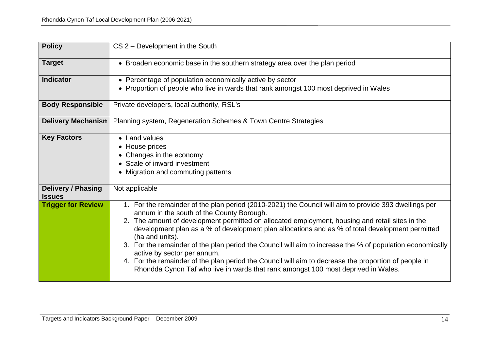| <b>Policy</b>                              | CS 2 - Development in the South                                                                                                                                                                                                                                                                                                                                                                                                                                                                                                                                                                                                                                                                                      |
|--------------------------------------------|----------------------------------------------------------------------------------------------------------------------------------------------------------------------------------------------------------------------------------------------------------------------------------------------------------------------------------------------------------------------------------------------------------------------------------------------------------------------------------------------------------------------------------------------------------------------------------------------------------------------------------------------------------------------------------------------------------------------|
| <b>Target</b>                              | • Broaden economic base in the southern strategy area over the plan period                                                                                                                                                                                                                                                                                                                                                                                                                                                                                                                                                                                                                                           |
| <b>Indicator</b>                           | • Percentage of population economically active by sector<br>• Proportion of people who live in wards that rank amongst 100 most deprived in Wales                                                                                                                                                                                                                                                                                                                                                                                                                                                                                                                                                                    |
| <b>Body Responsible</b>                    | Private developers, local authority, RSL's                                                                                                                                                                                                                                                                                                                                                                                                                                                                                                                                                                                                                                                                           |
| <b>Delivery Mechanism</b>                  | Planning system, Regeneration Schemes & Town Centre Strategies                                                                                                                                                                                                                                                                                                                                                                                                                                                                                                                                                                                                                                                       |
| <b>Key Factors</b>                         | • Land values<br>• House prices<br>• Changes in the economy<br>• Scale of inward investment<br>• Migration and commuting patterns                                                                                                                                                                                                                                                                                                                                                                                                                                                                                                                                                                                    |
| <b>Delivery / Phasing</b><br><b>Issues</b> | Not applicable                                                                                                                                                                                                                                                                                                                                                                                                                                                                                                                                                                                                                                                                                                       |
| <b>Trigger for Review</b>                  | 1. For the remainder of the plan period (2010-2021) the Council will aim to provide 393 dwellings per<br>annum in the south of the County Borough.<br>2. The amount of development permitted on allocated employment, housing and retail sites in the<br>development plan as a % of development plan allocations and as % of total development permitted<br>(ha and units).<br>3. For the remainder of the plan period the Council will aim to increase the % of population economically<br>active by sector per annum.<br>4. For the remainder of the plan period the Council will aim to decrease the proportion of people in<br>Rhondda Cynon Taf who live in wards that rank amongst 100 most deprived in Wales. |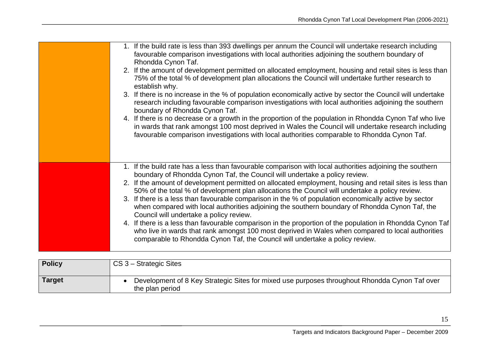| 1. If the build rate is less than 393 dwellings per annum the Council will undertake research including<br>favourable comparison investigations with local authorities adjoining the southern boundary of<br>Rhondda Cynon Taf.<br>2. If the amount of development permitted on allocated employment, housing and retail sites is less than<br>75% of the total % of development plan allocations the Council will undertake further research to<br>establish why.<br>3. If there is no increase in the % of population economically active by sector the Council will undertake<br>research including favourable comparison investigations with local authorities adjoining the southern<br>boundary of Rhondda Cynon Taf.<br>4. If there is no decrease or a growth in the proportion of the population in Rhondda Cynon Taf who live<br>in wards that rank amongst 100 most deprived in Wales the Council will undertake research including<br>favourable comparison investigations with local authorities comparable to Rhondda Cynon Taf. |
|------------------------------------------------------------------------------------------------------------------------------------------------------------------------------------------------------------------------------------------------------------------------------------------------------------------------------------------------------------------------------------------------------------------------------------------------------------------------------------------------------------------------------------------------------------------------------------------------------------------------------------------------------------------------------------------------------------------------------------------------------------------------------------------------------------------------------------------------------------------------------------------------------------------------------------------------------------------------------------------------------------------------------------------------|
| 1. If the build rate has a less than favourable comparison with local authorities adjoining the southern<br>boundary of Rhondda Cynon Taf, the Council will undertake a policy review.<br>2. If the amount of development permitted on allocated employment, housing and retail sites is less than<br>50% of the total % of development plan allocations the Council will undertake a policy review.<br>3. If there is a less than favourable comparison in the % of population economically active by sector<br>when compared with local authorities adjoining the southern boundary of Rhondda Cynon Taf, the<br>Council will undertake a policy review.<br>4. If there is a less than favourable comparison in the proportion of the population in Rhondda Cynon Taf<br>who live in wards that rank amongst 100 most deprived in Wales when compared to local authorities<br>comparable to Rhondda Cynon Taf, the Council will undertake a policy review.                                                                                   |

| <b>Policy</b> | CS 3 – Strategic Sites                                                                                           |
|---------------|------------------------------------------------------------------------------------------------------------------|
| Target        | Development of 8 Key Strategic Sites for mixed use purposes throughout Rhondda Cynon Taf over<br>the plan period |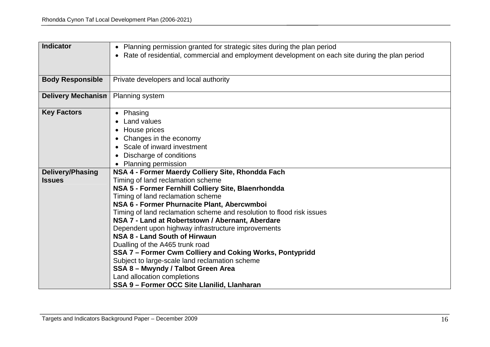| <b>Indicator</b>        | • Planning permission granted for strategic sites during the plan period<br>• Rate of residential, commercial and employment development on each site during the plan period |
|-------------------------|------------------------------------------------------------------------------------------------------------------------------------------------------------------------------|
|                         |                                                                                                                                                                              |
| <b>Body Responsible</b> | Private developers and local authority                                                                                                                                       |
| Delivery Mechanism      | <b>Planning system</b>                                                                                                                                                       |
| <b>Key Factors</b>      | • Phasing<br>Land values<br>House prices<br>Changes in the economy<br>• Scale of inward investment<br>Discharge of conditions<br>$\bullet$<br>• Planning permission          |
| <b>Delivery/Phasing</b> | NSA 4 - Former Maerdy Colliery Site, Rhondda Fach                                                                                                                            |
| <b>Issues</b>           | Timing of land reclamation scheme                                                                                                                                            |
|                         | NSA 5 - Former Fernhill Colliery Site, Blaenrhondda                                                                                                                          |
|                         | Timing of land reclamation scheme                                                                                                                                            |
|                         | NSA 6 - Former Phurnacite Plant, Abercwmboi                                                                                                                                  |
|                         | Timing of land reclamation scheme and resolution to flood risk issues                                                                                                        |
|                         | NSA 7 - Land at Robertstown / Abernant, Aberdare                                                                                                                             |
|                         | Dependent upon highway infrastructure improvements<br>NSA 8 - Land South of Hirwaun                                                                                          |
|                         | Dualling of the A465 trunk road                                                                                                                                              |
|                         | SSA 7 - Former Cwm Colliery and Coking Works, Pontypridd                                                                                                                     |
|                         | Subject to large-scale land reclamation scheme                                                                                                                               |
|                         | SSA 8 - Mwyndy / Talbot Green Area                                                                                                                                           |
|                         | Land allocation completions                                                                                                                                                  |
|                         | SSA 9 - Former OCC Site Llanilid, Llanharan                                                                                                                                  |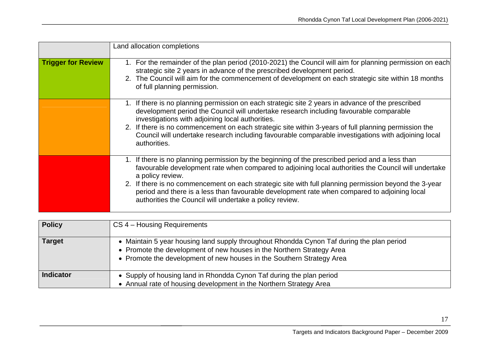|                           | Land allocation completions                                                                                                                                                                                                                                                                                                                                                                                                                                                                 |
|---------------------------|---------------------------------------------------------------------------------------------------------------------------------------------------------------------------------------------------------------------------------------------------------------------------------------------------------------------------------------------------------------------------------------------------------------------------------------------------------------------------------------------|
| <b>Trigger for Review</b> | 1. For the remainder of the plan period (2010-2021) the Council will aim for planning permission on each<br>strategic site 2 years in advance of the prescribed development period.<br>2. The Council will aim for the commencement of development on each strategic site within 18 months<br>of full planning permission.                                                                                                                                                                  |
|                           | 1. If there is no planning permission on each strategic site 2 years in advance of the prescribed<br>development period the Council will undertake research including favourable comparable<br>investigations with adjoining local authorities.<br>2. If there is no commencement on each strategic site within 3-years of full planning permission the<br>Council will undertake research including favourable comparable investigations with adjoining local<br>authorities.              |
|                           | If there is no planning permission by the beginning of the prescribed period and a less than<br>favourable development rate when compared to adjoining local authorities the Council will undertake<br>a policy review.<br>2. If there is no commencement on each strategic site with full planning permission beyond the 3-year<br>period and there is a less than favourable development rate when compared to adjoining local<br>authorities the Council will undertake a policy review. |

| <b>Policy</b>    | CS 4 – Housing Requirements                                                                                                                                                                                                                 |
|------------------|---------------------------------------------------------------------------------------------------------------------------------------------------------------------------------------------------------------------------------------------|
| <b>Target</b>    | • Maintain 5 year housing land supply throughout Rhondda Cynon Taf during the plan period<br>• Promote the development of new houses in the Northern Strategy Area<br>• Promote the development of new houses in the Southern Strategy Area |
| <b>Indicator</b> | • Supply of housing land in Rhondda Cynon Taf during the plan period<br>• Annual rate of housing development in the Northern Strategy Area                                                                                                  |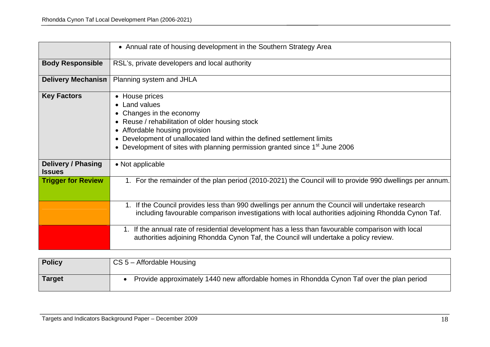|                                            | • Annual rate of housing development in the Southern Strategy Area                                                                                                                                                                                                                                              |
|--------------------------------------------|-----------------------------------------------------------------------------------------------------------------------------------------------------------------------------------------------------------------------------------------------------------------------------------------------------------------|
| <b>Body Responsible</b>                    | RSL's, private developers and local authority                                                                                                                                                                                                                                                                   |
| <b>Delivery Mechanism</b>                  | Planning system and JHLA                                                                                                                                                                                                                                                                                        |
| <b>Key Factors</b>                         | • House prices<br>• Land values<br>Changes in the economy<br>• Reuse / rehabilitation of older housing stock<br>• Affordable housing provision<br>Development of unallocated land within the defined settlement limits<br>Development of sites with planning permission granted since 1 <sup>st</sup> June 2006 |
| <b>Delivery / Phasing</b><br><b>Issues</b> | • Not applicable                                                                                                                                                                                                                                                                                                |
| <b>Trigger for Review</b>                  | 1. For the remainder of the plan period (2010-2021) the Council will to provide 990 dwellings per annum.                                                                                                                                                                                                        |
|                                            | If the Council provides less than 990 dwellings per annum the Council will undertake research<br>1.<br>including favourable comparison investigations with local authorities adjoining Rhondda Cynon Taf.                                                                                                       |
|                                            | 1. If the annual rate of residential development has a less than favourable comparison with local<br>authorities adjoining Rhondda Cynon Taf, the Council will undertake a policy review.                                                                                                                       |

| <b>Policy</b> | $CS$ 5 – Affordable Housing                                                               |
|---------------|-------------------------------------------------------------------------------------------|
| Target        | Provide approximately 1440 new affordable homes in Rhondda Cynon Taf over the plan period |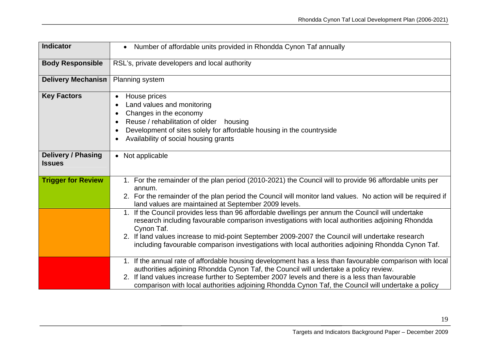| <b>Indicator</b>                           | Number of affordable units provided in Rhondda Cynon Taf annually<br>$\bullet$                                                                                                                                                                                                                                                                                                                                                                                                                                                                                                                                                                                                                                           |
|--------------------------------------------|--------------------------------------------------------------------------------------------------------------------------------------------------------------------------------------------------------------------------------------------------------------------------------------------------------------------------------------------------------------------------------------------------------------------------------------------------------------------------------------------------------------------------------------------------------------------------------------------------------------------------------------------------------------------------------------------------------------------------|
| <b>Body Responsible</b>                    | RSL's, private developers and local authority                                                                                                                                                                                                                                                                                                                                                                                                                                                                                                                                                                                                                                                                            |
| <b>Delivery Mechanism</b>                  | Planning system                                                                                                                                                                                                                                                                                                                                                                                                                                                                                                                                                                                                                                                                                                          |
| <b>Key Factors</b>                         | House prices<br>$\bullet$<br>Land values and monitoring<br>Changes in the economy<br>$\bullet$<br>Reuse / rehabilitation of older<br>housing<br>Development of sites solely for affordable housing in the countryside<br>$\bullet$<br>Availability of social housing grants                                                                                                                                                                                                                                                                                                                                                                                                                                              |
| <b>Delivery / Phasing</b><br><b>Issues</b> | • Not applicable                                                                                                                                                                                                                                                                                                                                                                                                                                                                                                                                                                                                                                                                                                         |
| <b>Trigger for Review</b>                  | 1. For the remainder of the plan period (2010-2021) the Council will to provide 96 affordable units per<br>annum.<br>2. For the remainder of the plan period the Council will monitor land values. No action will be required if<br>land values are maintained at September 2009 levels.<br>1. If the Council provides less than 96 affordable dwellings per annum the Council will undertake<br>research including favourable comparison investigations with local authorities adjoining Rhondda<br>Cynon Taf.<br>2. If land values increase to mid-point September 2009-2007 the Council will undertake research<br>including favourable comparison investigations with local authorities adjoining Rhondda Cynon Taf. |
|                                            | 1. If the annual rate of affordable housing development has a less than favourable comparison with local<br>authorities adjoining Rhondda Cynon Taf, the Council will undertake a policy review.<br>2. If land values increase further to September 2007 levels and there is a less than favourable<br>comparison with local authorities adjoining Rhondda Cynon Taf, the Council will undertake a policy                                                                                                                                                                                                                                                                                                                |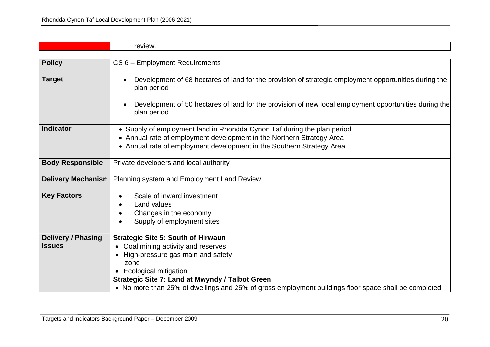|                           | review.                                                                                                              |
|---------------------------|----------------------------------------------------------------------------------------------------------------------|
|                           |                                                                                                                      |
| <b>Policy</b>             | CS 6 - Employment Requirements                                                                                       |
|                           |                                                                                                                      |
| <b>Target</b>             | Development of 68 hectares of land for the provision of strategic employment opportunities during the<br>plan period |
|                           | Development of 50 hectares of land for the provision of new local employment opportunities during the<br>plan period |
| <b>Indicator</b>          | • Supply of employment land in Rhondda Cynon Taf during the plan period                                              |
|                           | • Annual rate of employment development in the Northern Strategy Area                                                |
|                           | • Annual rate of employment development in the Southern Strategy Area                                                |
| <b>Body Responsible</b>   | Private developers and local authority                                                                               |
| <b>Delivery Mechanism</b> | Planning system and Employment Land Review                                                                           |
| <b>Key Factors</b>        | Scale of inward investment                                                                                           |
|                           | Land values                                                                                                          |
|                           | Changes in the economy                                                                                               |
|                           | Supply of employment sites                                                                                           |
| <b>Delivery / Phasing</b> | <b>Strategic Site 5: South of Hirwaun</b>                                                                            |
| <b>Issues</b>             | Coal mining activity and reserves                                                                                    |
|                           | High-pressure gas main and safety                                                                                    |
|                           | zone                                                                                                                 |
|                           | <b>Ecological mitigation</b><br>$\bullet$                                                                            |
|                           | <b>Strategic Site 7: Land at Mwyndy / Talbot Green</b>                                                               |
|                           | • No more than 25% of dwellings and 25% of gross employment buildings floor space shall be completed                 |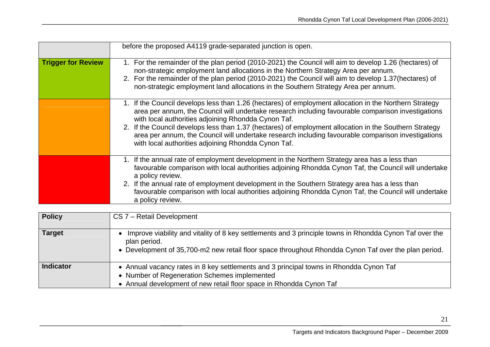|                           | before the proposed A4119 grade-separated junction is open.                                                                                                                                                                                                                                                                                                                                                                                                                                                                                |
|---------------------------|--------------------------------------------------------------------------------------------------------------------------------------------------------------------------------------------------------------------------------------------------------------------------------------------------------------------------------------------------------------------------------------------------------------------------------------------------------------------------------------------------------------------------------------------|
| <b>Trigger for Review</b> | 1. For the remainder of the plan period (2010-2021) the Council will aim to develop 1.26 (hectares) of<br>non-strategic employment land allocations in the Northern Strategy Area per annum.<br>2. For the remainder of the plan period (2010-2021) the Council will aim to develop 1.37 (hectares) of<br>non-strategic employment land allocations in the Southern Strategy Area per annum.                                                                                                                                               |
|                           | 1. If the Council develops less than 1.26 (hectares) of employment allocation in the Northern Strategy<br>area per annum, the Council will undertake research including favourable comparison investigations<br>with local authorities adjoining Rhondda Cynon Taf.<br>2. If the Council develops less than 1.37 (hectares) of employment allocation in the Southern Strategy<br>area per annum, the Council will undertake research including favourable comparison investigations<br>with local authorities adjoining Rhondda Cynon Taf. |
|                           | 1. If the annual rate of employment development in the Northern Strategy area has a less than<br>favourable comparison with local authorities adjoining Rhondda Cynon Taf, the Council will undertake<br>a policy review.<br>2. If the annual rate of employment development in the Southern Strategy area has a less than<br>favourable comparison with local authorities adjoining Rhondda Cynon Taf, the Council will undertake<br>a policy review.                                                                                     |

| <b>Policy</b>    | CS 7 - Retail Development                                                                                                                                                                                                       |
|------------------|---------------------------------------------------------------------------------------------------------------------------------------------------------------------------------------------------------------------------------|
| <b>Target</b>    | Improve viability and vitality of 8 key settlements and 3 principle towns in Rhondda Cynon Taf over the<br>plan period.<br>• Development of 35,700-m2 new retail floor space throughout Rhondda Cynon Taf over the plan period. |
| <b>Indicator</b> | • Annual vacancy rates in 8 key settlements and 3 principal towns in Rhondda Cynon Taf<br>• Number of Regeneration Schemes implemented<br>• Annual development of new retail floor space in Rhondda Cynon Taf                   |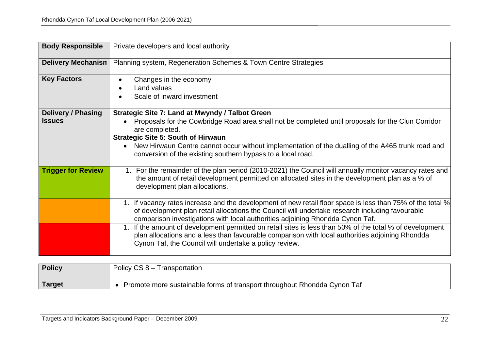| <b>Body Responsible</b>                    | Private developers and local authority                                                                                                                                                                                                                                                                                                                                                                |
|--------------------------------------------|-------------------------------------------------------------------------------------------------------------------------------------------------------------------------------------------------------------------------------------------------------------------------------------------------------------------------------------------------------------------------------------------------------|
| <b>Delivery Mechanism</b>                  | Planning system, Regeneration Schemes & Town Centre Strategies                                                                                                                                                                                                                                                                                                                                        |
| <b>Key Factors</b>                         | Changes in the economy<br>$\bullet$<br>Land values<br>$\bullet$<br>Scale of inward investment                                                                                                                                                                                                                                                                                                         |
| <b>Delivery / Phasing</b><br><b>Issues</b> | Strategic Site 7: Land at Mwyndy / Talbot Green<br>Proposals for the Cowbridge Road area shall not be completed until proposals for the Clun Corridor<br>are completed.<br><b>Strategic Site 5: South of Hirwaun</b><br>New Hirwaun Centre cannot occur without implementation of the dualling of the A465 trunk road and<br>$\bullet$<br>conversion of the existing southern bypass to a local road. |
| <b>Trigger for Review</b>                  | 1. For the remainder of the plan period (2010-2021) the Council will annually monitor vacancy rates and<br>the amount of retail development permitted on allocated sites in the development plan as a % of<br>development plan allocations.                                                                                                                                                           |
|                                            | 1. If vacancy rates increase and the development of new retail floor space is less than 75% of the total %<br>of development plan retail allocations the Council will undertake research including favourable<br>comparison investigations with local authorities adjoining Rhondda Cynon Taf.                                                                                                        |
|                                            | 1. If the amount of development permitted on retail sites is less than 50% of the total % of development<br>plan allocations and a less than favourable comparison with local authorities adjoining Rhondda<br>Cynon Taf, the Council will undertake a policy review.                                                                                                                                 |

| <b>Policy</b> | Policy $CS 8 -$<br><i><u><b>I</b></u></i> ransportation                  |
|---------------|--------------------------------------------------------------------------|
|               |                                                                          |
| <b>Target</b> | Promote more sustainable forms of transport throughout Rhondda Cynon Taf |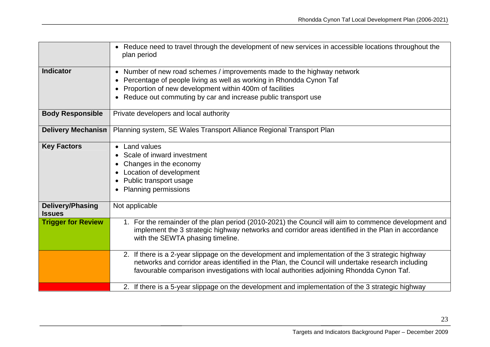|                                          | Reduce need to travel through the development of new services in accessible locations throughout the<br>$\bullet$<br>plan period                                                                                                                                                                   |
|------------------------------------------|----------------------------------------------------------------------------------------------------------------------------------------------------------------------------------------------------------------------------------------------------------------------------------------------------|
| <b>Indicator</b>                         | • Number of new road schemes / improvements made to the highway network<br>Percentage of people living as well as working in Rhondda Cynon Taf<br>Proportion of new development within 400m of facilities<br>Reduce out commuting by car and increase public transport use                         |
| <b>Body Responsible</b>                  | Private developers and local authority                                                                                                                                                                                                                                                             |
| <b>Delivery Mechanism</b>                | Planning system, SE Wales Transport Alliance Regional Transport Plan                                                                                                                                                                                                                               |
| <b>Key Factors</b>                       | <b>Land values</b><br>Scale of inward investment<br>Changes in the economy<br>Location of development<br>Public transport usage<br><b>Planning permissions</b>                                                                                                                                     |
| <b>Delivery/Phasing</b><br><b>Issues</b> | Not applicable                                                                                                                                                                                                                                                                                     |
| <b>Trigger for Review</b>                | 1. For the remainder of the plan period (2010-2021) the Council will aim to commence development and<br>implement the 3 strategic highway networks and corridor areas identified in the Plan in accordance<br>with the SEWTA phasing timeline.                                                     |
|                                          | 2. If there is a 2-year slippage on the development and implementation of the 3 strategic highway<br>networks and corridor areas identified in the Plan, the Council will undertake research including<br>favourable comparison investigations with local authorities adjoining Rhondda Cynon Taf. |
|                                          | 2. If there is a 5-year slippage on the development and implementation of the 3 strategic highway                                                                                                                                                                                                  |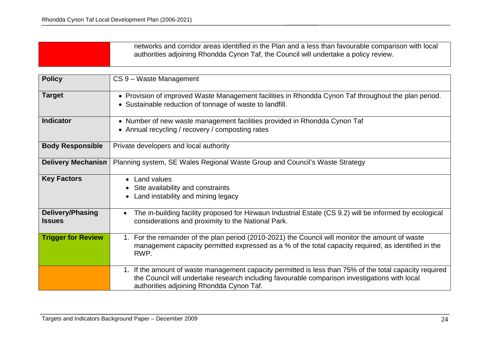| networks and corridor areas identified in the Plan and a less than favourable comparison with local<br>authorities adjoining Rhondda Cynon Taf, the Council will undertake a policy review. |
|---------------------------------------------------------------------------------------------------------------------------------------------------------------------------------------------|
|                                                                                                                                                                                             |

| <b>Policy</b>                     | CS 9 - Waste Management                                                                                                                                                                                                                              |
|-----------------------------------|------------------------------------------------------------------------------------------------------------------------------------------------------------------------------------------------------------------------------------------------------|
| <b>Target</b>                     | • Provision of improved Waste Management facilities in Rhondda Cynon Taf throughout the plan period.<br>• Sustainable reduction of tonnage of waste to landfill.                                                                                     |
| <b>Indicator</b>                  | • Number of new waste management facilities provided in Rhondda Cynon Taf<br>• Annual recycling / recovery / composting rates                                                                                                                        |
| <b>Body Responsible</b>           | Private developers and local authority                                                                                                                                                                                                               |
| <b>Delivery Mechanism</b>         | Planning system, SE Wales Regional Waste Group and Council's Waste Strategy                                                                                                                                                                          |
| <b>Key Factors</b>                | <b>Land values</b><br>Site availability and constraints<br>Land instability and mining legacy                                                                                                                                                        |
| Delivery/Phasing<br><b>Issues</b> | The in-building facility proposed for Hirwaun Industrial Estate (CS 9.2) will be informed by ecological<br>considerations and proximity to the National Park.                                                                                        |
| <b>Trigger for Review</b>         | 1. For the remainder of the plan period (2010-2021) the Council will monitor the amount of waste<br>management capacity permitted expressed as a % of the total capacity required, as identified in the<br>RWP.                                      |
|                                   | 1. If the amount of waste management capacity permitted is less than 75% of the total capacity required<br>the Council will undertake research including favourable comparison investigations with local<br>authorities adjoining Rhondda Cynon Taf. |